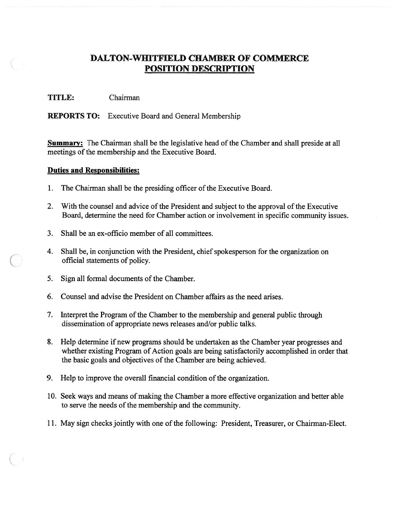### TITLE: Chairman

REPORTS TO: Executive Board and General Membership

Summary: The Chairman shall be the legislative head of the Chamber and shall preside at all meetings of the membership and the Executive Board.

- 1. The Chairman shall be the presiding officer of the Executive Board.
- 2. With the counsel and advice of the President and subject to the approval of the Executive Board, determine the need for Chamber action or involvement in specific community issues.
- 3. Shall be an ex-officio member of all committees.
- 4. Shall be, in conjunction with the President, chief spokesperson for the organization on official statements of policy.
- 5. Sign all formal documents of the Chamber.
- 6. Counsel and advise the President on Chamber affairs as the need arises.
- 7. Interpret the Program of the Chamber to the membership and general public through dissemination of appropriate news releases and/or public talks.
- 8. Help determine if new programs should be undertaken as the Chamber year progresses and whether existing Program of Action goals are being satisfactorily accomplished in order that the basic goals and objectives of the Chamber are being achieved.
- 9. Help to improve the overall financial condition of the organization.
- 10. Seek ways and means ofmaking the Chamber <sup>a</sup> more effective organization and better able to serve the needs of the membership and the community.
- 11. May sign checks jointly with one of the following: President, Treasurer, or Chairman-Elect.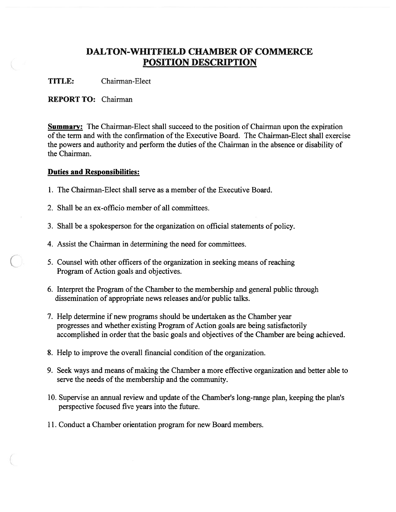TITLE: Chairman-Elect

#### REPORT TO: Chairman

**Summary:** The Chairman-Elect shall succeed to the position of Chairman upon the expiration of the term and with the confirmation of the Executive Board. The Chairman-Elect shall exercise the powers and authority and perform the duties of the Chairman in the absence or disability of the Chairman.

- 1. The Chairman-Elect shall serve as <sup>a</sup> member of the Executive Board.
- 2. Shall be an ex-officio member of all committees.
- 3. Shall be <sup>a</sup> spokesperson for the organization on official statements of policy.
- 4. Assist the Chairman in determining the need for committees.
- 5. Counsel with other officers of the organization in seeking means of reaching Program of Action goals and objectives.
- 6. Interpret the Program of the Chamber to the membership and general public through dissemination of appropriate news releases and/or public talks.
- 7. Help determine if new programs should be undertaken as the Chamber year progresses and whether existing Program of Action goals are being satisfactorily accomplished in order that the basic goals and objectives of the Chamber are being achieved.
- 8. Help to improve the overall financial condition of the organization.
- 9. Seek ways and means of making the Chamber a more effective organization and better able to serve the needs of the membership and the community.
- 10. Supervise an annual review and update of the Chamber's long-range plan, keeping the plan's perspective focused five years into the future.
- 11. Conduct <sup>a</sup> Chamber orientation program for new Board members.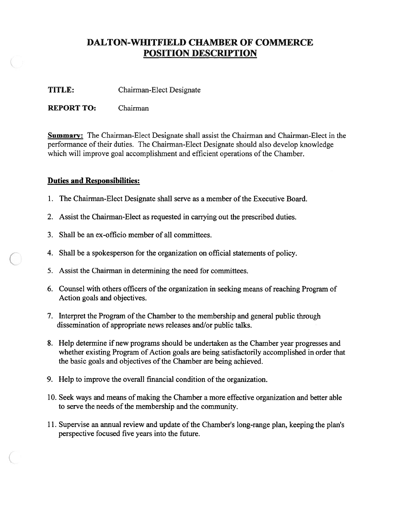TITLE: Chairman-Elect Designate

REPORT TO: Chairman

Summary: The Chairman-Elect Designate shall assist the Chairman and Chairman-Elect in the performance of their duties. The Chairman-Elect Designate should also develop knowledge which will improve goal accomplishment and efficient operations of the Chamber.

- 1. The Chairman-Elect Designate shall serve as <sup>a</sup> member ofthe Executive Board.
- 2. Assist the Chairman-Elect as requested in carrying out the prescribed duties.
- 3. Shall be an ex-officio member of all committees.
- 4. Shall be <sup>a</sup> spokesperson for the organization on official statements of policy.
- 5. Assist the Chairman in determining the need for committees.
- 6. Counsel with others officers of the organization in seeking means of reaching Program of Action goals and objectives.
- 7. Interpret the Program of the Chamber to the membership and general public through dissemination of appropriate news releases and/or public talks.
- 8. Help determine if new programs should be undertaken as the Chamber year progresses and whether existing Program of Action goals are being satisfactorily accomplished in order that the basic goals and objectives of the Chamber are being achieved.
- 9. Help to improve the overall financial condition of the organization.
- 10. Seek ways and means of making the Chamber a more effective organization and better able to serve the needs of the membership and the community.
- 11. Supervise an annual review and update of the Chamber's long-range plan, keeping the plan's perspective focused five years into the future.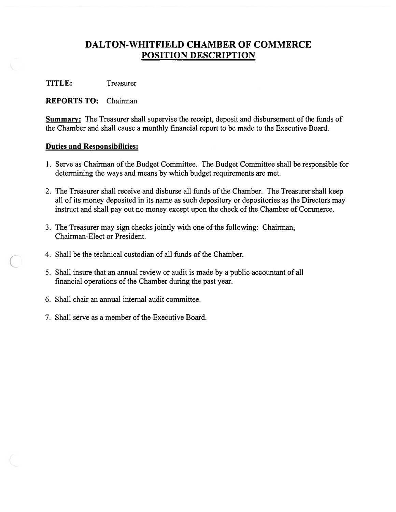TITLE: Treasurer

REPORTS TO: Chairman

Summary: The Treasurer shall supervise the receipt, deposit and disbursement of the funds of the Chamber and shall cause <sup>a</sup> monthly financial repor<sup>t</sup> to be made to the Executive Board.

- 1. Serve as Chairman of the Budget Committee. The Budget Committee shall be responsible for determining the ways and means by which budget requirements are met.
- 2. The Treasurer shall receive and disburse all funds of the Chamber. The Treasurer shall keep all of its money deposited in its name as such depository or depositories as the Directors may instruct and shall pay out no money except upon the check of the Chamber of Commerce.
- 3. The Treasurer may sign checks jointly with one of the following: Chairman, Chairman-Elect or President.
- 4. Shall be the technical custodian of all funds of the Chamber.
- 5. Shall insure that an annual review or audit is made by <sup>a</sup> public accountant of all financial operations of the Chamber during the past year.
- 6. Shall chair an annual internal audit committee.
- 7. Shall serve as a member of the Executive Board.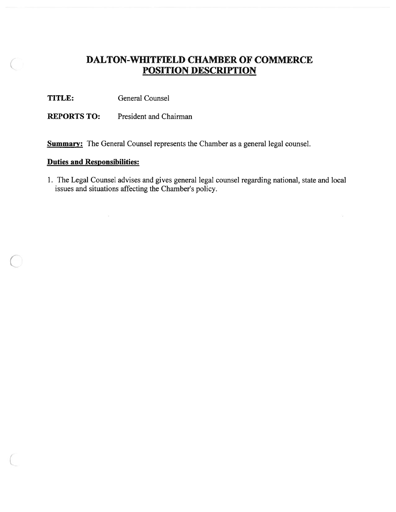TITLE: General Counsel

REPORTS TO: President and Chairman

**Summary:** The General Counsel represents the Chamber as a general legal counsel.

### Duties and Responsibilities:

1. The Legal Counsel advises and gives general legal counsel regarding national, state and local issues and situations affecting the Chamber's policy.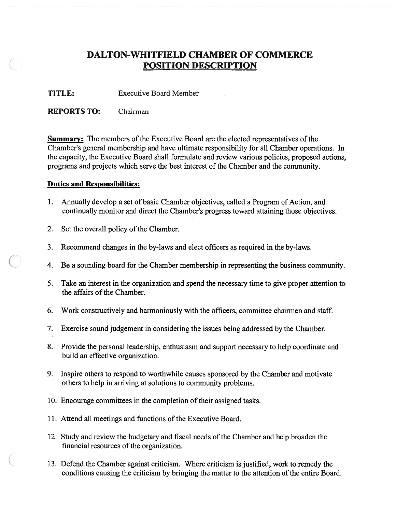TITLE: Executive Board Member

REPORTS TO: Chairman

Summary: The members of the Executive Board are the elected representatives of the Chamber's general membership and have ultimate responsibility for all Chamber operations. In the capacity, the Executive Board shall formulate and review various policies, proposed actions, programs and projects which serve the best interest of the Chamber and the community.

- 1. Annually develop <sup>a</sup> set of basic Chamber objectives, called <sup>a</sup> Program of Action, and continually monitor and direct the Chamber's progress toward attaining those objectives.
- 2. Set the overall policy of the Chamber.
- 3. Recommend changes in the by-laws and elect officers as required in the by-laws.
- 4. Be <sup>a</sup> sounding board for the Chamber membership in representing the business community.
- 5. Take an interest in the organization and spend the necessary time to give proper attention to the affairs of the Chamber.
- 6. Work constructively and harmoniously with the officers, committee chairmen and staff.
- 7. Exercise sound judgement in considering the issues being addressed by the Chamber.
- 8. Provide the personal leadership, enthusiasm and suppor<sup>t</sup> necessary to help coordinate and build an effective organization.
- 9. Inspire others to respond to worthwhile causes sponsored by the Chamber and motivate others to help in arriving at solutions to community problems.
- 10. Encourage committees in the completion of their assigned tasks.
- 11. Attend all meetings and functions of the Executive Board.
- 12. Study and review the budgetary and fiscal needs of the Chamber and help broaden the financial resources of the organization.
- 13. Defend the Chamber against criticism. Where criticism is justified, work to remedy the conditions causing the criticism by bringing the matter to the attention of the entire Board.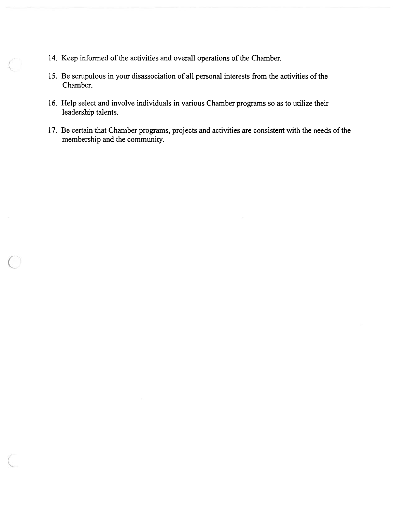- 14. Keep informed of the activities and overall operations of the Chamber.
- 15. Be scrupulous in your disassociation of all personal interests from the activities of the Chamber.
- 16. Help select and involve individuals in various Chamber programs so as to utilize their leadership talents.
- 17. Be certain that Chamber programs, projects and activities are consistent with the needs of the membership and the community.